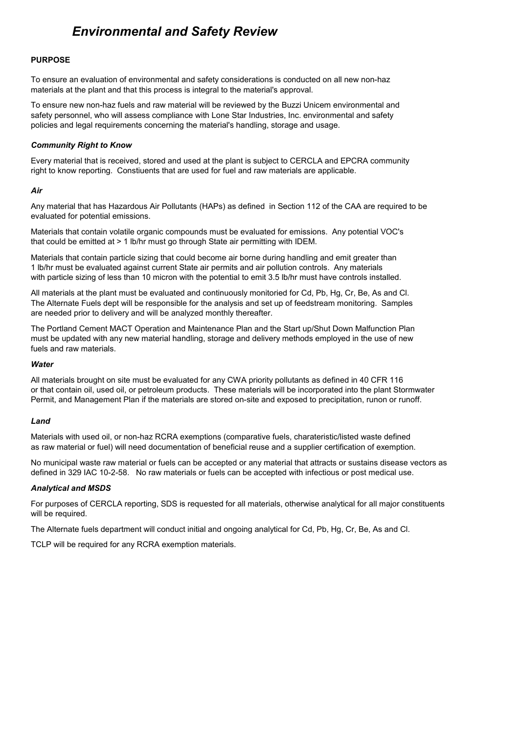# *Environmental and Safety Review*

#### **PURPOSE**

To ensure an evaluation of environmental and safety considerations is conducted on all new non-haz materials at the plant and that this process is integral to the material's approval.

To ensure new non-haz fuels and raw material will be reviewed by the Buzzi Unicem environmental and safety personnel, who will assess compliance with Lone Star Industries, Inc. environmental and safety policies and legal requirements concerning the material's handling, storage and usage.

## *Community Right to Know*

Every material that is received, stored and used at the plant is subject to CERCLA and EPCRA community right to know reporting. Constiuents that are used for fuel and raw materials are applicable.

## *Air*

Any material that has Hazardous Air Pollutants (HAPs) as defined in Section 112 of the CAA are required to be evaluated for potential emissions.

Materials that contain volatile organic compounds must be evaluated for emissions. Any potential VOC's that could be emitted at > 1 lb/hr must go through State air permitting with IDEM.

Materials that contain particle sizing that could become air borne during handling and emit greater than 1 lb/hr must be evaluated against current State air permits and air pollution controls. Any materials with particle sizing of less than 10 micron with the potential to emit 3.5 lb/hr must have controls installed.

All materials at the plant must be evaluated and continuously monitoried for Cd, Pb, Hg, Cr, Be, As and Cl. The Alternate Fuels dept will be responsible for the analysis and set up of feedstream monitoring. Samples are needed prior to delivery and will be analyzed monthly thereafter.

The Portland Cement MACT Operation and Maintenance Plan and the Start up/Shut Down Malfunction Plan must be updated with any new material handling, storage and delivery methods employed in the use of new fuels and raw materials.

#### *Water*

All materials brought on site must be evaluated for any CWA priority pollutants as defined in 40 CFR 116 or that contain oil, used oil, or petroleum products. These materials will be incorporated into the plant Stormwater Permit, and Management Plan if the materials are stored on-site and exposed to precipitation, runon or runoff.

#### *Land*

Materials with used oil, or non-haz RCRA exemptions (comparative fuels, charateristic/listed waste defined as raw material or fuel) will need documentation of beneficial reuse and a supplier certification of exemption.

No municipal waste raw material or fuels can be accepted or any material that attracts or sustains disease vectors as defined in 329 IAC 10-2-58. No raw materials or fuels can be accepted with infectious or post medical use.

#### *Analytical and MSDS*

For purposes of CERCLA reporting, SDS is requested for all materials, otherwise analytical for all major constituents will be required.

The Alternate fuels department will conduct initial and ongoing analytical for Cd, Pb, Hg, Cr, Be, As and Cl.

TCLP will be required for any RCRA exemption materials.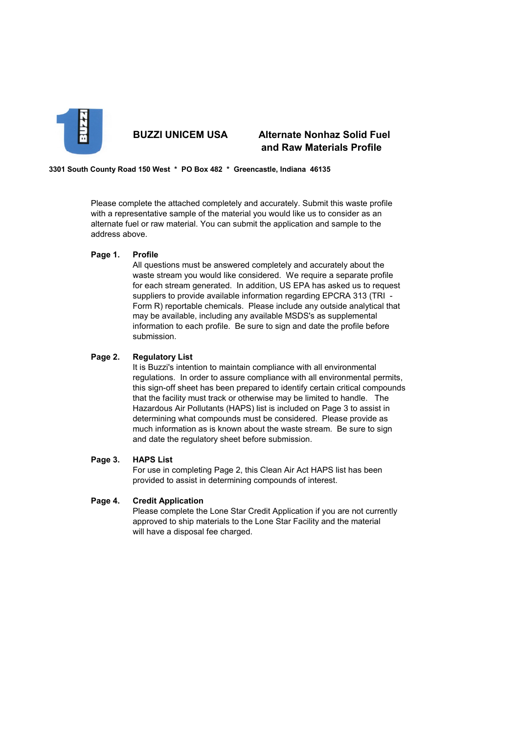

# **BUZZI UNICEM USA Alternate Nonhaz Solid Fuel and Raw Materials Profile**

**3301 South County Road 150 West \* PO Box 482 \* Greencastle, Indiana 46135** 

Please complete the attached completely and accurately. Submit this waste profile with a representative sample of the material you would like us to consider as an alternate fuel or raw material. You can submit the application and sample to the address above.

#### **Page 1. Profile**

All questions must be answered completely and accurately about the waste stream you would like considered. We require a separate profile for each stream generated. In addition, US EPA has asked us to request suppliers to provide available information regarding EPCRA 313 (TRI - Form R) reportable chemicals. Please include any outside analytical that may be available, including any available MSDS's as supplemental information to each profile. Be sure to sign and date the profile before submission.

## **Page 2. Regulatory List**

It is Buzzi's intention to maintain compliance with all environmental regulations. In order to assure compliance with all environmental permits, this sign-off sheet has been prepared to identify certain critical compounds that the facility must track or otherwise may be limited to handle. The Hazardous Air Pollutants (HAPS) list is included on Page 3 to assist in determining what compounds must be considered. Please provide as much information as is known about the waste stream. Be sure to sign and date the regulatory sheet before submission.

#### **Page 3. HAPS List**

For use in completing Page 2, this Clean Air Act HAPS list has been provided to assist in determining compounds of interest.

#### **Page 4. Credit Application**

Please complete the Lone Star Credit Application if you are not currently approved to ship materials to the Lone Star Facility and the material will have a disposal fee charged.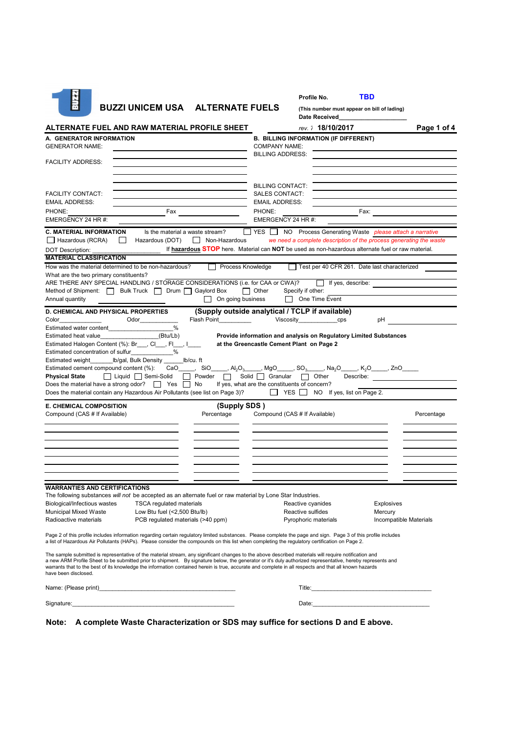| Profile No. | TBD |
|-------------|-----|
|             |     |

| m                                                                                                                                                                                                                                                                                                                                                                                                                                                                                                    | <b>BUZZI UNICEM USA</b>                                                               | <b>ALTERNATE FUELS</b>   |                                                 | (This number must appear on bill of lading)<br><b>Date Received</b>                                                                                |                                                                                                                                                                                                                                |
|------------------------------------------------------------------------------------------------------------------------------------------------------------------------------------------------------------------------------------------------------------------------------------------------------------------------------------------------------------------------------------------------------------------------------------------------------------------------------------------------------|---------------------------------------------------------------------------------------|--------------------------|-------------------------------------------------|----------------------------------------------------------------------------------------------------------------------------------------------------|--------------------------------------------------------------------------------------------------------------------------------------------------------------------------------------------------------------------------------|
| ALTERNATE FUEL AND RAW MATERIAL PROFILE SHEET                                                                                                                                                                                                                                                                                                                                                                                                                                                        |                                                                                       |                          |                                                 | rev. 7 18/10/2017                                                                                                                                  | Page 1 of 4                                                                                                                                                                                                                    |
| A. GENERATOR INFORMATION                                                                                                                                                                                                                                                                                                                                                                                                                                                                             |                                                                                       |                          |                                                 | <b>B. BILLING INFORMATION (IF DIFFERENT)</b>                                                                                                       |                                                                                                                                                                                                                                |
| <b>GENERATOR NAME:</b>                                                                                                                                                                                                                                                                                                                                                                                                                                                                               |                                                                                       |                          | <b>COMPANY NAME:</b>                            |                                                                                                                                                    |                                                                                                                                                                                                                                |
| <b>FACILITY ADDRESS:</b>                                                                                                                                                                                                                                                                                                                                                                                                                                                                             |                                                                                       |                          | <b>BILLING ADDRESS:</b>                         |                                                                                                                                                    |                                                                                                                                                                                                                                |
|                                                                                                                                                                                                                                                                                                                                                                                                                                                                                                      |                                                                                       |                          |                                                 |                                                                                                                                                    |                                                                                                                                                                                                                                |
|                                                                                                                                                                                                                                                                                                                                                                                                                                                                                                      |                                                                                       |                          |                                                 |                                                                                                                                                    |                                                                                                                                                                                                                                |
|                                                                                                                                                                                                                                                                                                                                                                                                                                                                                                      |                                                                                       |                          | <b>BILLING CONTACT:</b>                         |                                                                                                                                                    |                                                                                                                                                                                                                                |
| <b>FACILITY CONTACT:</b><br><b>EMAIL ADDRESS:</b>                                                                                                                                                                                                                                                                                                                                                                                                                                                    |                                                                                       |                          | <b>SALES CONTACT:</b><br><b>EMAIL ADDRESS:</b>  |                                                                                                                                                    |                                                                                                                                                                                                                                |
| PHONE:                                                                                                                                                                                                                                                                                                                                                                                                                                                                                               | Fax                                                                                   |                          | PHONE:                                          | Fax:                                                                                                                                               |                                                                                                                                                                                                                                |
| EMERGENCY 24 HR #:                                                                                                                                                                                                                                                                                                                                                                                                                                                                                   |                                                                                       |                          | EMERGENCY 24 HR #:                              |                                                                                                                                                    |                                                                                                                                                                                                                                |
| <b>C. MATERIAL INFORMATION</b>                                                                                                                                                                                                                                                                                                                                                                                                                                                                       | Is the material a waste stream?                                                       |                          |                                                 |                                                                                                                                                    | ∐ YES I NO Process Generating Waste <i>please attach a narrative</i>                                                                                                                                                           |
| $\Box$ Hazardous (RCRA)                                                                                                                                                                                                                                                                                                                                                                                                                                                                              | Hazardous (DOT)                                                                       | Non-Hazardous            |                                                 |                                                                                                                                                    | we need a complete description of the process generating the waste                                                                                                                                                             |
| <b>DOT Description:</b>                                                                                                                                                                                                                                                                                                                                                                                                                                                                              |                                                                                       |                          |                                                 |                                                                                                                                                    | If hazardous STOP here. Material can NOT be used as non-hazardous alternate fuel or raw material.                                                                                                                              |
| <b>MATERIAL CLASSIFICATION</b>                                                                                                                                                                                                                                                                                                                                                                                                                                                                       |                                                                                       |                          |                                                 |                                                                                                                                                    |                                                                                                                                                                                                                                |
| How was the material determined to be non-hazardous?                                                                                                                                                                                                                                                                                                                                                                                                                                                 |                                                                                       | Process Knowledge        |                                                 | Test per 40 CFR 261. Date last characterized                                                                                                       |                                                                                                                                                                                                                                |
| What are the two primary constituents?<br>ARE THERE ANY SPECIAL HANDLING / STORAGE CONSIDERATIONS (i.e. for CAA or CWA)? [ If yes, describe:                                                                                                                                                                                                                                                                                                                                                         |                                                                                       |                          |                                                 |                                                                                                                                                    |                                                                                                                                                                                                                                |
| Method of Shipment:   Bulk Truck   Drum   Gaylord Box                                                                                                                                                                                                                                                                                                                                                                                                                                                |                                                                                       |                          | $\Box$ Other<br>Specify if other:               |                                                                                                                                                    |                                                                                                                                                                                                                                |
| Annual quantity                                                                                                                                                                                                                                                                                                                                                                                                                                                                                      |                                                                                       | $\Box$ On going business |                                                 | One Time Event                                                                                                                                     |                                                                                                                                                                                                                                |
| <b>D. CHEMICAL AND PHYSICAL PROPERTIES</b>                                                                                                                                                                                                                                                                                                                                                                                                                                                           |                                                                                       |                          | (Supply outside analytical / TCLP if available) |                                                                                                                                                    |                                                                                                                                                                                                                                |
| Color                                                                                                                                                                                                                                                                                                                                                                                                                                                                                                | Odor                                                                                  | Flash Point              |                                                 | Viscosity________________cps                                                                                                                       | pH                                                                                                                                                                                                                             |
| Estimated water content                                                                                                                                                                                                                                                                                                                                                                                                                                                                              | %                                                                                     |                          |                                                 |                                                                                                                                                    |                                                                                                                                                                                                                                |
| Estimated heat value                                                                                                                                                                                                                                                                                                                                                                                                                                                                                 | (Btu/Lb)                                                                              |                          |                                                 | Provide information and analysis on Regulatory Limited Substances                                                                                  |                                                                                                                                                                                                                                |
| Estimated Halogen Content (%): Br___, Cl___, Fl___, I____                                                                                                                                                                                                                                                                                                                                                                                                                                            |                                                                                       |                          | at the Greencastle Cement Plant on Page 2       |                                                                                                                                                    |                                                                                                                                                                                                                                |
| Estimated concentration of sulfur<br>_____________%<br>Estimated weight_________ lb/gal, Bulk Density _______ lb/cu. ft                                                                                                                                                                                                                                                                                                                                                                              |                                                                                       |                          |                                                 |                                                                                                                                                    |                                                                                                                                                                                                                                |
| Estimated cement compound content (%):                                                                                                                                                                                                                                                                                                                                                                                                                                                               |                                                                                       |                          |                                                 | CaO_____, SiO_____, Al <sub>2</sub> O <sub>3</sub> _____, MgO_____, SO <sub>3</sub> _____, Na <sub>2</sub> O_____, K <sub>2</sub> O_____, ZnO_____ |                                                                                                                                                                                                                                |
| <b>Physical State</b>                                                                                                                                                                                                                                                                                                                                                                                                                                                                                | $\Box$ Liquid $\Box$ Semi-Solid                                                       | $\Box$ Powder $\Box$     | Solid $\Box$ Granular $\Box$ Other              |                                                                                                                                                    | Describe: The contract of the contract of the contract of the contract of the contract of the contract of the contract of the contract of the contract of the contract of the contract of the contract of the contract of the  |
| Does the material have a strong odor? $\Box$ Yes $\Box$ No                                                                                                                                                                                                                                                                                                                                                                                                                                           |                                                                                       |                          | If yes, what are the constituents of concern?   |                                                                                                                                                    |                                                                                                                                                                                                                                |
| Does the material contain any Hazardous Air Pollutants (see list on Page 3)?                                                                                                                                                                                                                                                                                                                                                                                                                         |                                                                                       |                          |                                                 | $\Box$ YES $\Box$ NO If yes, list on Page 2.                                                                                                       |                                                                                                                                                                                                                                |
| <b>E. CHEMICAL COMPOSITION</b>                                                                                                                                                                                                                                                                                                                                                                                                                                                                       |                                                                                       | (Supply SDS)             |                                                 |                                                                                                                                                    |                                                                                                                                                                                                                                |
| Compound (CAS # If Available)                                                                                                                                                                                                                                                                                                                                                                                                                                                                        |                                                                                       | Percentage               | Compound (CAS # If Available)                   |                                                                                                                                                    | Percentage                                                                                                                                                                                                                     |
|                                                                                                                                                                                                                                                                                                                                                                                                                                                                                                      |                                                                                       |                          |                                                 |                                                                                                                                                    |                                                                                                                                                                                                                                |
|                                                                                                                                                                                                                                                                                                                                                                                                                                                                                                      |                                                                                       |                          |                                                 |                                                                                                                                                    |                                                                                                                                                                                                                                |
|                                                                                                                                                                                                                                                                                                                                                                                                                                                                                                      |                                                                                       |                          |                                                 |                                                                                                                                                    |                                                                                                                                                                                                                                |
|                                                                                                                                                                                                                                                                                                                                                                                                                                                                                                      |                                                                                       |                          |                                                 |                                                                                                                                                    |                                                                                                                                                                                                                                |
|                                                                                                                                                                                                                                                                                                                                                                                                                                                                                                      |                                                                                       |                          |                                                 |                                                                                                                                                    |                                                                                                                                                                                                                                |
|                                                                                                                                                                                                                                                                                                                                                                                                                                                                                                      |                                                                                       |                          |                                                 |                                                                                                                                                    |                                                                                                                                                                                                                                |
| <b>WARRANTIES AND CERTIFICATIONS</b>                                                                                                                                                                                                                                                                                                                                                                                                                                                                 |                                                                                       |                          |                                                 |                                                                                                                                                    |                                                                                                                                                                                                                                |
| The following substances will not be accepted as an alternate fuel or raw material by Lone Star Industries.                                                                                                                                                                                                                                                                                                                                                                                          |                                                                                       |                          |                                                 |                                                                                                                                                    |                                                                                                                                                                                                                                |
| Biological/Infectious wastes                                                                                                                                                                                                                                                                                                                                                                                                                                                                         | <b>TSCA regulated materials</b>                                                       |                          | Reactive cyanides                               |                                                                                                                                                    | <b>Explosives</b>                                                                                                                                                                                                              |
| <b>Municipal Mixed Waste</b>                                                                                                                                                                                                                                                                                                                                                                                                                                                                         | Low Btu fuel $($ < 2,500 Btu/lb)                                                      |                          | Reactive sulfides                               |                                                                                                                                                    | Mercury                                                                                                                                                                                                                        |
| Radioactive materials                                                                                                                                                                                                                                                                                                                                                                                                                                                                                | PCB regulated materials (>40 ppm)                                                     |                          |                                                 | Pyrophoric materials                                                                                                                               | Incompatible Materials                                                                                                                                                                                                         |
| Page 2 of this profile includes information regarding certain regulatory limited substances. Please complete the page and sign. Page 3 of this profile includes<br>a list of Hazardous Air Pollutants (HAPs). Please consider the compounds on this list when completing the regulatory certification on Page 2.                                                                                                                                                                                     |                                                                                       |                          |                                                 |                                                                                                                                                    |                                                                                                                                                                                                                                |
| The sample submitted is representative of the material stream, any significant changes to the above described materials will require notification and<br>a new ARM Profile Sheet to be submitted prior to shipment. By signature below, the generator or it's duly authorized representative, hereby represents and<br>warrants that to the best of its knowledge the information contained herein is true, accurate and complete in all respects and that all known hazards<br>have been disclosed. |                                                                                       |                          |                                                 |                                                                                                                                                    |                                                                                                                                                                                                                                |
|                                                                                                                                                                                                                                                                                                                                                                                                                                                                                                      |                                                                                       |                          |                                                 |                                                                                                                                                    |                                                                                                                                                                                                                                |
| Signature: the contract of the contract of the contract of the contract of the contract of the contract of the contract of the contract of the contract of the contract of the contract of the contract of the contract of the                                                                                                                                                                                                                                                                       |                                                                                       |                          |                                                 |                                                                                                                                                    | Date: the contract of the contract of the contract of the contract of the contract of the contract of the contract of the contract of the contract of the contract of the contract of the contract of the contract of the cont |
|                                                                                                                                                                                                                                                                                                                                                                                                                                                                                                      | Note: A complete Waste Characterization or SDS may suffice for sections D and E above |                          |                                                 |                                                                                                                                                    |                                                                                                                                                                                                                                |

**Note: A complete Waste Characterization or SDS may suffice for sections D and E above.**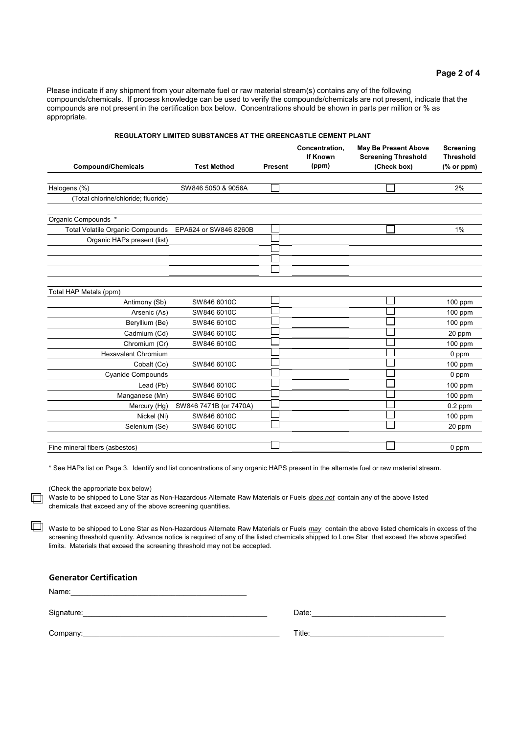| <b>REGULATORY LIMITED SUBSTANCES AT THE GREENCASTLE CEMENT PLANT</b> |                        |                |                                            |                                                                          |                                             |  |  |
|----------------------------------------------------------------------|------------------------|----------------|--------------------------------------------|--------------------------------------------------------------------------|---------------------------------------------|--|--|
| <b>Compound/Chemicals</b>                                            | <b>Test Method</b>     | <b>Present</b> | Concentration,<br><b>If Known</b><br>(ppm) | <b>May Be Present Above</b><br><b>Screening Threshold</b><br>(Check box) | Screening<br><b>Threshold</b><br>(% or ppm) |  |  |
|                                                                      |                        |                |                                            |                                                                          |                                             |  |  |
| Halogens (%)                                                         | SW846 5050 & 9056A     |                |                                            |                                                                          | 2%                                          |  |  |
| (Total chlorine/chloride; fluoride)                                  |                        |                |                                            |                                                                          |                                             |  |  |
| Organic Compounds *                                                  |                        |                |                                            |                                                                          |                                             |  |  |
| <b>Total Volatile Organic Compounds</b>                              | EPA624 or SW846 8260B  |                |                                            |                                                                          | 1%                                          |  |  |
| Organic HAPs present (list)                                          |                        |                |                                            |                                                                          |                                             |  |  |
|                                                                      |                        |                |                                            |                                                                          |                                             |  |  |
|                                                                      |                        |                |                                            |                                                                          |                                             |  |  |
|                                                                      |                        |                |                                            |                                                                          |                                             |  |  |
|                                                                      |                        |                |                                            |                                                                          |                                             |  |  |
| Total HAP Metals (ppm)                                               |                        |                |                                            |                                                                          |                                             |  |  |
| Antimony (Sb)                                                        | SW846 6010C            |                |                                            |                                                                          | $100$ ppm                                   |  |  |
| Arsenic (As)                                                         | SW846 6010C            |                |                                            |                                                                          | 100 ppm                                     |  |  |
| Beryllium (Be)                                                       | SW846 6010C            |                |                                            |                                                                          | 100 ppm                                     |  |  |
| Cadmium (Cd)                                                         | SW846 6010C            |                |                                            |                                                                          | 20 ppm                                      |  |  |
| Chromium (Cr)                                                        | SW846 6010C            |                |                                            |                                                                          | 100 ppm                                     |  |  |
| <b>Hexavalent Chromium</b>                                           |                        |                |                                            |                                                                          | 0 ppm                                       |  |  |
| Cobalt (Co)                                                          | SW846 6010C            |                |                                            |                                                                          | 100 ppm                                     |  |  |
| <b>Cyanide Compounds</b>                                             |                        |                |                                            |                                                                          | 0 ppm                                       |  |  |
| Lead (Pb)                                                            | SW846 6010C            |                |                                            |                                                                          | 100 ppm                                     |  |  |
| Manganese (Mn)                                                       | SW846 6010C            |                |                                            |                                                                          | 100 ppm                                     |  |  |
| Mercury (Hg)                                                         | SW846 7471B (or 7470A) |                |                                            |                                                                          | $0.2$ ppm                                   |  |  |
| Nickel (Ni)                                                          | SW846 6010C            |                |                                            |                                                                          | $100$ ppm                                   |  |  |
| Selenium (Se)                                                        | SW846 6010C            |                |                                            |                                                                          | 20 ppm                                      |  |  |
|                                                                      |                        |                |                                            |                                                                          |                                             |  |  |
| Fine mineral fibers (asbestos)                                       |                        |                |                                            |                                                                          | 0 ppm                                       |  |  |

\* See HAPs list on Page 3. Identify and list concentrations of any organic HAPS present in the alternate fuel or raw material stream.

(Check the appropriate box below)

n

回

appropriate.

Waste to be shipped to Lone Star as Non-Hazardous Alternate Raw Materials or Fuels *does not* contain any of the above listed chemicals that exceed any of the above screening quantities.

Waste to be shipped to Lone Star as Non-Hazardous Alternate Raw Materials or Fuels *may* contain the above listed chemicals in excess of the screening threshold quantity. Advance notice is required of any of the listed chemicals shipped to Lone Star that exceed the above specified limits. Materials that exceed the screening threshold may not be accepted.

#### **Generator Certification**

Name:

Signature:\_\_\_\_\_\_\_\_\_\_\_\_\_\_\_\_\_\_\_\_\_\_\_\_\_\_\_\_\_\_\_\_\_\_\_\_\_\_\_\_\_\_\_\_ Date:\_\_\_\_\_\_\_\_\_\_\_\_\_\_\_\_\_\_\_\_\_\_\_\_\_\_\_\_\_\_\_\_

| Date: |  |  |  |
|-------|--|--|--|
|       |  |  |  |

Company: Title: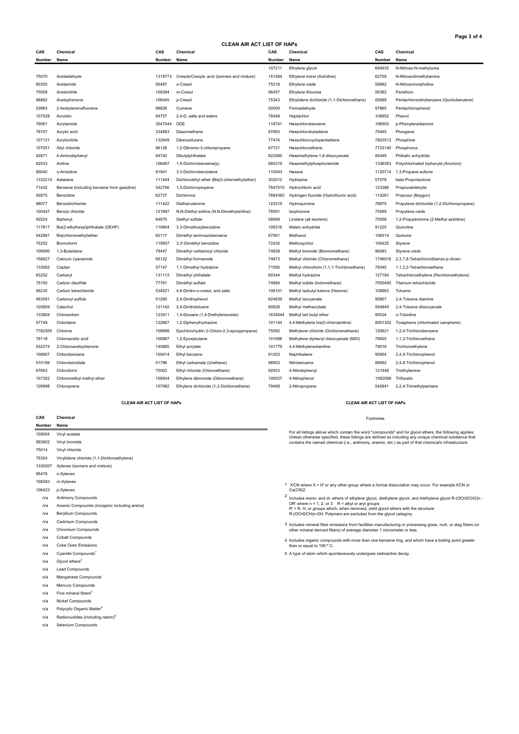**Page 3 of 4**

**CLEAN AIR ACT LIST OF HAPs**

| CAS     | Chemical                                  | CAS     | Chemical                                      | CAS     | Chemical                                   | CAS     | Chemical                                   |
|---------|-------------------------------------------|---------|-----------------------------------------------|---------|--------------------------------------------|---------|--------------------------------------------|
| Number  | Name                                      | Number  | Name                                          | Number  | Name                                       | Number  | Name                                       |
|         |                                           |         |                                               | 107211  | Ethylene glycol                            | 684935  | N-Nitroso-N-methylurea                     |
| 75070   | Acetaldehyde                              | 1319773 | Cresols/Cresylic acid (isomers and mixture)   | 151564  | Ethylene imine (Aziridine)                 | 62759   | N-Nitrosodimethylamine                     |
| 60355   | Acetamide                                 | 95487   | o-Cresol                                      | 75218   | Ethylene oxide                             | 59892   | N-Nitrosomorpholine                        |
| 75058   | Acetonitrile                              | 108394  | m-Cresol                                      | 96457   | Ethylene thiourea                          | 56382   | Parathion                                  |
| 98862   | Acetophenone                              | 106445  | p-Cresol                                      | 75343   | Ethylidene dichloride (1,1-Dichloroethane) | 82688   | Pentachloronitrobenzene (Quintobenzene)    |
| 53963   | 2-Acetylaminofluorene                     | 98828   | Cumene                                        | 50000   | Formaldehyde                               | 87865   | Pentachlorophenol                          |
| 107028  | Acrolein                                  | 94757   | 2,4-D, salts and esters                       | 76448   | Heptachlor                                 | 108952  | Phenol                                     |
| 79061   | Acrylamide                                | 3547044 | <b>DDE</b>                                    | 118741  | Hexachlorobenzene                          | 106503  | p-Phenylenediamine                         |
| 79107   | Acrylic acid                              | 334883  | Diazomethane                                  | 87683   | Hexachlorobutadiene                        | 75445   | Phosgene                                   |
| 107131  | Acrylonitrile                             | 132649  | Dibenzofurans                                 | 77474   | Hexachlorocyclopentadiene                  | 7803512 | Phosphine                                  |
| 107051  | Allyl chloride                            | 96128   | 1,2-Dibromo-3-chloropropane                   | 67721   | Hexachloroethane                           | 7723140 | Phosphorus                                 |
| 92671   | 4-Aminobiphenyl                           | 84742   | Dibutylphthalate                              | 822060  | Hexamethylene-1,6-diisocyanate             | 85449   | Phthalic anhydride                         |
| 62533   | Aniline                                   | 106467  | 1,4-Dichlorobenzene(p)                        | 680319  | Hexamethylphosphoramide                    | 1336363 | Polychlorinated biphenyls (Aroclors)       |
| 90040   | o-Anisidine                               | 91941   | 3,3-Dichlorobenzidene                         | 110543  | Hexane                                     | 1120714 | 1,3-Propane sultone                        |
| 1332214 | Asbestos                                  | 111444  | Dichloroethyl ether (Bis(2-chloroethyl)ether) | 302012  | Hydrazine                                  | 57578   | beta-Propiolactone                         |
| 71432   | Benzene (including benzene from gasoline) | 542756  | 1,3-Dichloropropene                           | 7647010 | Hydrochloric acid                          | 123386  | Propionaldehyde                            |
| 92875   | Benzidine                                 | 62737   | Dichlorvos                                    | 7664393 | Hydrogen fluoride (Hydrofluoric acid)      | 114261  | Propoxur (Baygon)                          |
| 98077   | Benzotrichloride                          | 111422  | Diethanolamine                                | 123319  | Hydroquinone                               | 78875   | Propylene dichloride (1,2-Dichloropropane) |
| 100447  | Benzyl chloride                           | 121697  | N,N-Diethyl aniline (N,N-Dimethylaniline)     | 78591   | Isophorone                                 | 75569   | Propylene oxide                            |
| 92524   | Biphenyl                                  | 64675   | Diethyl sulfate                               | 58899   | Lindane (all isomers)                      | 75558   | 1,2-Propylenimine (2-Methyl aziridine)     |
| 117817  | Bis(2-ethylhexyl)phthalate (DEHP)         | 119904  | 3,3-Dimethoxybenzidine                        | 108316  | Maleic anhydride                           | 91225   | Quinoline                                  |
| 542881  | Bis(chloromethyl)ether                    | 60117   | Dimethyl aminoazobenzene                      | 67561   | Methanol                                   | 106514  | Quinone                                    |
| 75252   | Bromoform                                 | 119937  | 3,3'-Dimethyl benzidine                       | 72435   | Methoxychlor                               | 100425  | Styrene                                    |
| 106990  | 1,3-Butadiene                             | 79447   | Dimethyl carbamoyl chloride                   | 74839   | Methyl bromide (Bromomethane)              | 96093   | Styrene oxide                              |
| 156627  | Calcium cyanamide                         | 68122   | Dimethyl formamide                            | 74873   | Methyl chloride (Chloromethane)            | 1746016 | 2,3,7,8-Tetrachlorodibenzo-p-dioxin        |
| 133062  | Captan                                    | 57147   | 1,1-Dimethyl hydrazine                        | 71556   | Methyl chloroform (1,1,1-Trichloroethane)  | 79345   | 1,1,2,2-Tetrachloroethane                  |
| 63252   | Carbaryl                                  | 131113  | Dimethyl phthalate                            | 60344   | Methyl hydrazine                           | 127184  | Tetrachloroethylene (Perchloroethylene)    |
| 75150   | Carbon disulfide                          | 77781   | Dimethyl sulfate                              | 74884   | Methyl iodide (lodomethane)                | 7550450 | Titanium tetrachloride                     |
| 56235   | Carbon tetrachloride                      | 534521  | 4,6-Dinitro-o-cresol, and salts               | 108101  | Methyl isobutyl ketone (Hexone)            | 108883  | Toluene                                    |
| 463581  | Carbonyl sulfide                          | 51285   | 2,4-Dinitrophenol                             | 624839  | Methyl isocyanate                          | 95807   | 2,4-Toluene diamine                        |
| 120809  | Catechol                                  | 121142  | 2,4-Dinitrotoluene                            | 80626   | Methyl methacrylate                        | 584849  | 2,4-Toluene diisocyanate                   |
| 133904  | Chloramben                                | 123911  | 1,4-Dioxane (1,4-Diethyleneoxide)             | 1634044 | Methyl tert butyl ether                    | 95534   | o-Toluidine                                |
| 57749   | Chlordane                                 | 122667  | 1,2-Diphenylhydrazine                         | 101144  | 4,4-Methylene bis(2-chloroaniline)         | 8001352 | Toxaphene (chlorinated camphene)           |
| 7782505 | Chlorine                                  | 106898  | Epichlorohydrin (I-Chloro-2,3-epoxypropane)   | 75092   | Methylene chloride (Dichloromethane)       | 120821  | 1,2,4-Trichlorobenzene                     |
| 79118   | Chloroacetic acid                         | 106887  | 1,2-Epoxybutane                               | 101688  | Methylene diphenyl diisocyanate (MDI)      | 79005   | 1,1,2-Trichloroethane                      |
| 532274  | 2-Chloroacetophenone                      | 140885  | Ethyl acrylate                                | 101779  | 4,4-Methylenedianiline                     | 79016   | Trichloroethylene                          |
| 108907  | Chlorobenzene                             | 100414  | Ethyl benzene                                 | 91203   | Naphthalene                                | 95954   | 2,4,5-Trichlorophenol                      |
| 510156  | Chlorobenzilate                           | 51796   | Ethyl carbamate (Urethane)                    | 98953   | Nitrobenzene                               | 88062   | 2,4,6-Trichlorophenol                      |
| 67663   | Chloroform                                | 75003   | Ethyl chloride (Chloroethane)                 | 92933   | 4-Nitrobiphenyl                            | 121448  | Triethylamine                              |
| 107302  | Chloromethyl methyl ether                 | 106934  | Ethylene dibromide (Dibromoethane)            | 100027  | 4-Nitrophenol                              | 1582098 | Trifluralin                                |
| 126998  | Chloroprene                               | 107062  | Ethylene dichloride (1,2-Dichloroethane)      | 79469   | 2-Nitropropane                             | 540841  | 2,2,4-Trimethylpentane                     |

#### **CLEAN AIR ACT LIST OF HAPs CLEAN AIR ACT LIST OF HAPs**

#### Footnotes

For all listings above which contain the word "compounds" and for glycol ethers, the following applies:<br>Unless otherwise specified, these listings are defined as including any unique chemical substance that<br>contains the na

- X'CN where X = H' or any other group where a formal dissociation may occur. For example KCN or Ca(CN)2
- Includes mono- and di- ethers of ethylene glycol, diethylene glycol, and triethylene glycol R-(OCH2CH2)n -<br>OR' where n = 1, 2, or 3 R = alkyl or aryl groups<br>R' = R, H, or groups which, when removed, yield glycol ethers
- 
- Includes mineral fiber emissions from facilities manufacturing or processing glass, rock, or slag fibers (or other mineral derived fibers) of average diameter 1 micrometer or less.
- 4 Includes organic compounds with more than one benzene ring, and which have a boiling point greater than or equal to 100 ° C.
- A type of atom which spontaneously undergoes radioactive decay.
- Vinyl acetate Vinyl bromide Vinyl chloride Vinylidene chloride (1,1-Dichloroethylene) Xylenes (isomers and mixture) o-Xylenes m-Xylenes p-Xylenes n/a Antimony Compounds
	- n/a Arsenic Compounds (inorganic including arsine)
	- n/a Beryllium Compounds
	- n/a Cadmium Compounds

**CAS Chemical Number Name**

- n/a Chromium Compounds
- n/a Cobalt Compounds
- n/a Coke Oven Emissions
- n/a Cyanide Compounds<sup>1</sup>
- $n/a$  Glycol ethers<sup>2</sup>
- n/a Lead Compounds
- n/a Manganese Compounds
- n/a Mercury Compounds
- $n/a$  Fine mineral fibers<sup>3</sup>
- n/a Nickel Compounds
- n/a Polycylic Organic Matter<sup>4</sup>
- n/a Radionuclides (including radon)<sup>5</sup>
- n/a Selenium Compounds